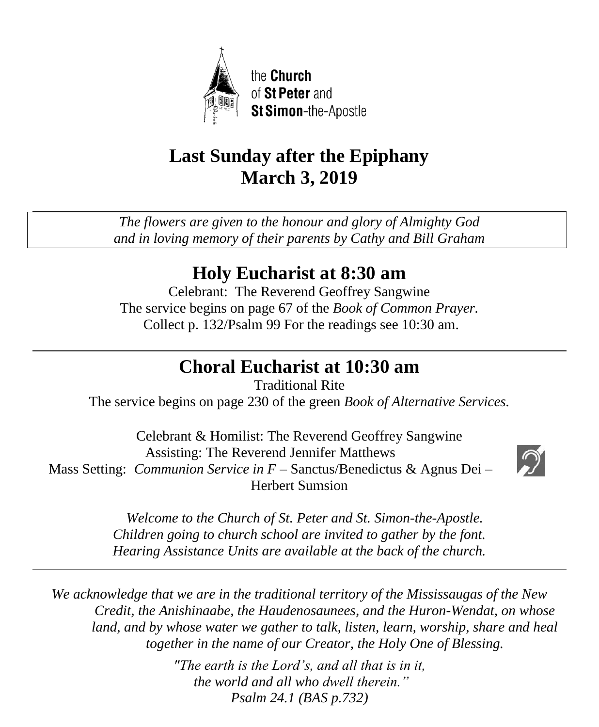

# **Last Sunday after the Epiphany March 3, 2019**

*The flowers are given to the honour and glory of Almighty God and in loving memory of their parents by Cathy and Bill Graham*

# **Holy Eucharist at 8:30 am**

Celebrant: The Reverend Geoffrey Sangwine The service begins on page 67 of the *Book of Common Prayer.* Collect p. 132/Psalm 99 For the readings see 10:30 am.

# **Choral Eucharist at 10:30 am**

Traditional Rite The service begins on page 230 of the green *Book of Alternative Services.*

Celebrant & Homilist: The Reverend Geoffrey Sangwine Assisting: The Reverend Jennifer Matthews Mass Setting: *Communion Service in F* – Sanctus/Benedictus & Agnus Dei – Herbert Sumsion



 *Welcome to the Church of St. Peter and St. Simon-the-Apostle. Children going to church school are invited to gather by the font. Hearing Assistance Units are available at the back of the church.*

*We acknowledge that we are in the traditional territory of the Mississaugas of the New Credit, the Anishinaabe, the Haudenosaunees, and the Huron-Wendat, on whose land, and by whose water we gather to talk, listen, learn, worship, share and heal together in the name of our Creator, the Holy One of Blessing.*

> *"The earth is the Lord's, and all that is in it, the world and all who dwell therein." Psalm 24.1 (BAS p.732)*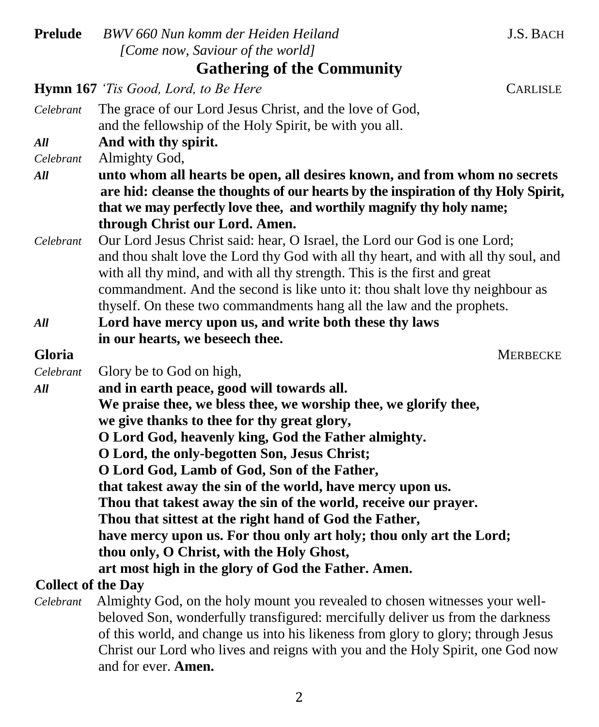| <b>Prelude</b>                                      | BWV 660 Nun komm der Heiden Heiland<br>[Come now, Saviour of the world]                                                                                                                                                                           | <b>J.S. BACH</b> |  |
|-----------------------------------------------------|---------------------------------------------------------------------------------------------------------------------------------------------------------------------------------------------------------------------------------------------------|------------------|--|
| <b>Gathering of the Community</b>                   |                                                                                                                                                                                                                                                   |                  |  |
|                                                     | <b>Hymn 167</b> 'Tis Good, Lord, to Be Here                                                                                                                                                                                                       | <b>CARLISLE</b>  |  |
| Celebrant                                           | The grace of our Lord Jesus Christ, and the love of God,<br>and the fellowship of the Holy Spirit, be with you all.                                                                                                                               |                  |  |
| All                                                 | And with thy spirit.                                                                                                                                                                                                                              |                  |  |
| Celebrant                                           | Almighty God,                                                                                                                                                                                                                                     |                  |  |
| All                                                 | unto whom all hearts be open, all desires known, and from whom no secrets<br>are hid: cleanse the thoughts of our hearts by the inspiration of thy Holy Spirit,                                                                                   |                  |  |
|                                                     | that we may perfectly love thee, and worthily magnify thy holy name;                                                                                                                                                                              |                  |  |
|                                                     | through Christ our Lord. Amen.                                                                                                                                                                                                                    |                  |  |
| Celebrant                                           | Our Lord Jesus Christ said: hear, O Israel, the Lord our God is one Lord;                                                                                                                                                                         |                  |  |
|                                                     | and thou shalt love the Lord thy God with all thy heart, and with all thy soul, and<br>with all thy mind, and with all thy strength. This is the first and great<br>commandment. And the second is like unto it: thou shalt love thy neighbour as |                  |  |
|                                                     | thyself. On these two commandments hang all the law and the prophets.                                                                                                                                                                             |                  |  |
| All                                                 | Lord have mercy upon us, and write both these thy laws                                                                                                                                                                                            |                  |  |
|                                                     | in our hearts, we beseech thee.                                                                                                                                                                                                                   |                  |  |
| Gloria                                              |                                                                                                                                                                                                                                                   | <b>MERBECKE</b>  |  |
| Celebrant                                           | Glory be to God on high,                                                                                                                                                                                                                          |                  |  |
| All                                                 | and in earth peace, good will towards all.                                                                                                                                                                                                        |                  |  |
|                                                     | We praise thee, we bless thee, we worship thee, we glorify thee,                                                                                                                                                                                  |                  |  |
|                                                     | we give thanks to thee for thy great glory,<br>O Lord God, heavenly king, God the Father almighty.                                                                                                                                                |                  |  |
|                                                     | O Lord, the only-begotten Son, Jesus Christ;                                                                                                                                                                                                      |                  |  |
|                                                     | O Lord God, Lamb of God, Son of the Father,                                                                                                                                                                                                       |                  |  |
|                                                     | that takest away the sin of the world, have mercy upon us.                                                                                                                                                                                        |                  |  |
|                                                     | Thou that takest away the sin of the world, receive our prayer.                                                                                                                                                                                   |                  |  |
|                                                     | Thou that sittest at the right hand of God the Father,                                                                                                                                                                                            |                  |  |
|                                                     | have mercy upon us. For thou only art holy; thou only art the Lord;<br>thou only, O Christ, with the Holy Ghost,                                                                                                                                  |                  |  |
| art most high in the glory of God the Father. Amen. |                                                                                                                                                                                                                                                   |                  |  |
| Collect of the Day                                  |                                                                                                                                                                                                                                                   |                  |  |
| Celebrant                                           | Almighty God, on the holy mount you revealed to chosen witnesses your well-<br>$1 \t1 \t10$ $1 \t011$ , $0 \t1 \t11$ $11 \t1$ $0 \t11$ $11$                                                                                                       |                  |  |

beloved Son, wonderfully transfigured: mercifully deliver us from the darkness of this world, and change us into his likeness from glory to glory; through Jesus Christ our Lord who lives and reigns with you and the Holy Spirit, one God now and for ever. **Amen.**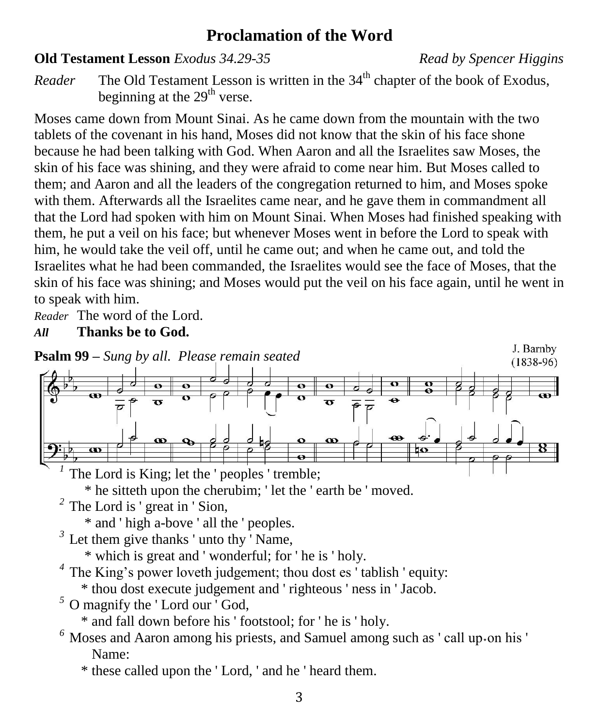## **Proclamation of the Word**

#### **Old Testament Lesson** *Exodus 34.29-35**Read by Spencer Higgins*

*Reader* The Old Testament Lesson is written in the 34<sup>th</sup> chapter of the book of Exodus, beginning at the  $29<sup>th</sup>$  verse.

Moses came down from Mount Sinai. As he came down from the mountain with the two tablets of the covenant in his hand, Moses did not know that the skin of his face shone because he had been talking with God. When Aaron and all the Israelites saw Moses, the skin of his face was shining, and they were afraid to come near him. But Moses called to them; and Aaron and all the leaders of the congregation returned to him, and Moses spoke with them. Afterwards all the Israelites came near, and he gave them in commandment all that the Lord had spoken with him on Mount Sinai. When Moses had finished speaking with them, he put a veil on his face; but whenever Moses went in before the Lord to speak with him, he would take the veil off, until he came out; and when he came out, and told the Israelites what he had been commanded, the Israelites would see the face of Moses, that the skin of his face was shining; and Moses would put the veil on his face again, until he went in to speak with him.

*Reader* The word of the Lord.

*All* **Thanks be to God.**



\* and fall down before his ' footstool; for ' he is ' holy.

<sup>6</sup> Moses and Aaron among his priests, and Samuel among such as ' call up on his ' Name:

\* these called upon the ' Lord, ' and he ' heard them.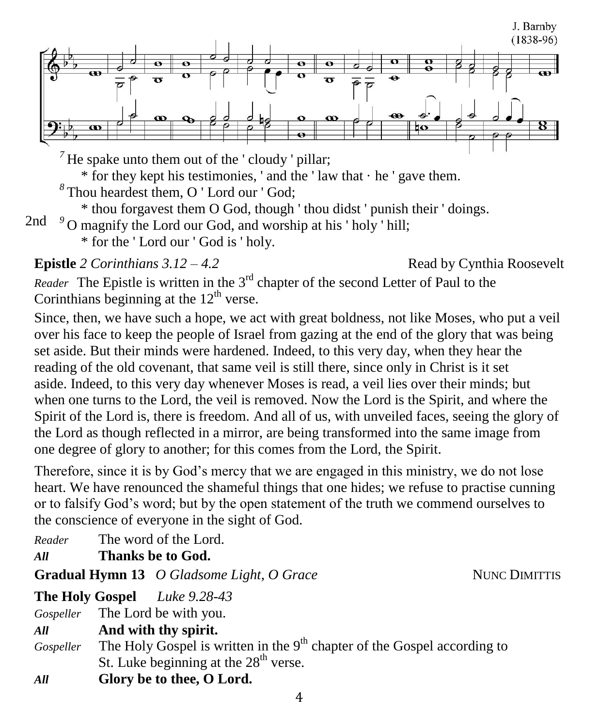

 $<sup>7</sup>$  He spake unto them out of the ' cloudy ' pillar;</sup>

 $*$  for they kept his testimonies, ' and the ' law that  $\cdot$  he ' gave them.

*<sup>8</sup>*Thou heardest them, O ' Lord our ' God;

\* thou forgavest them O God, though ' thou didst ' punish their ' doings.

2nd <sup>9</sup>O magnify the Lord our God, and worship at his 'holy ' hill;

\* for the ' Lord our ' God is ' holy.

## **Epistle** 2 Corinthians 3.12 – 4.2 Read by Cynthia Roosevelt

Reader The Epistle is written in the 3<sup>rd</sup> chapter of the second Letter of Paul to the Corinthians beginning at the  $12<sup>th</sup>$  verse.

Since, then, we have such a hope, we act with great boldness, not like Moses, who put a veil over his face to keep the people of Israel from gazing at the end of the glory that was being set aside. But their minds were hardened. Indeed, to this very day, when they hear the reading of the old covenant, that same veil is still there, since only in Christ is it set aside. Indeed, to this very day whenever Moses is read, a veil lies over their minds; but when one turns to the Lord, the veil is removed. Now the Lord is the Spirit, and where the Spirit of the Lord is, there is freedom. And all of us, with unveiled faces, seeing the glory of the Lord as though reflected in a mirror, are being transformed into the same image from one degree of glory to another; for this comes from the Lord, the Spirit.

Therefore, since it is by God's mercy that we are engaged in this ministry, we do not lose heart. We have renounced the shameful things that one hides; we refuse to practise cunning or to falsify God's word; but by the open statement of the truth we commend ourselves to the conscience of everyone in the sight of God.

*Reader* The word of the Lord.

*All* **Thanks be to God.**

**Gradual Hymn 13** *O Gladsome Light, O Grace* NUNC DIMITTIS

**The Holy Gospel** *Luke 9.28-43*

*Gospeller* The Lord be with you.

- *All* **And with thy spirit.**
- Gospeller The Holy Gospel is written in the 9<sup>th</sup> chapter of the Gospel according to St. Luke beginning at the  $28<sup>th</sup>$  verse.
- *All* **Glory be to thee, O Lord.**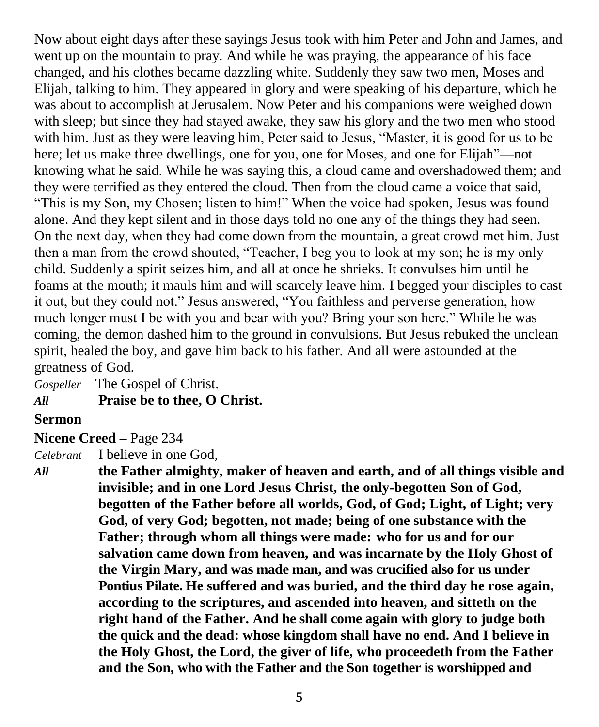Now about eight days after these sayings Jesus took with him Peter and John and James, and went up on the mountain to pray. And while he was praying, the appearance of his face changed, and his clothes became dazzling white. Suddenly they saw two men, Moses and Elijah, talking to him. They appeared in glory and were speaking of his departure, which he was about to accomplish at Jerusalem. Now Peter and his companions were weighed down with sleep; but since they had stayed awake, they saw his glory and the two men who stood with him. Just as they were leaving him, Peter said to Jesus, "Master, it is good for us to be here; let us make three dwellings, one for you, one for Moses, and one for Elijah"—not knowing what he said. While he was saying this, a cloud came and overshadowed them; and they were terrified as they entered the cloud. Then from the cloud came a voice that said, "This is my Son, my Chosen; listen to him!" When the voice had spoken, Jesus was found alone. And they kept silent and in those days told no one any of the things they had seen. On the next day, when they had come down from the mountain, a great crowd met him. Just then a man from the crowd shouted, "Teacher, I beg you to look at my son; he is my only child. Suddenly a spirit seizes him, and all at once he shrieks. It convulses him until he foams at the mouth; it mauls him and will scarcely leave him. I begged your disciples to cast it out, but they could not." Jesus answered, "You faithless and perverse generation, how much longer must I be with you and bear with you? Bring your son here." While he was coming, the demon dashed him to the ground in convulsions. But Jesus rebuked the unclean spirit, healed the boy, and gave him back to his father. And all were astounded at the greatness of God.

*Gospeller* The Gospel of Christ. *All* **Praise be to thee, O Christ.**

#### **Sermon**

#### **Nicene Creed –** Page 234

*Celebrant* I believe in one God,

*All* **the Father almighty, maker of heaven and earth, and of all things visible and invisible; and in one Lord Jesus Christ, the only-begotten Son of God, begotten of the Father before all worlds, God, of God; Light, of Light; very God, of very God; begotten, not made; being of one substance with the Father; through whom all things were made: who for us and for our salvation came down from heaven, and was incarnate by the Holy Ghost of the Virgin Mary, and was made man, and was crucified also for us under Pontius Pilate. He suffered and was buried, and the third day he rose again, according to the scriptures, and ascended into heaven, and sitteth on the right hand of the Father. And he shall come again with glory to judge both the quick and the dead: whose kingdom shall have no end. And I believe in the Holy Ghost, the Lord, the giver of life, who proceedeth from the Father and the Son, who with the Father and the Son together is worshipped and**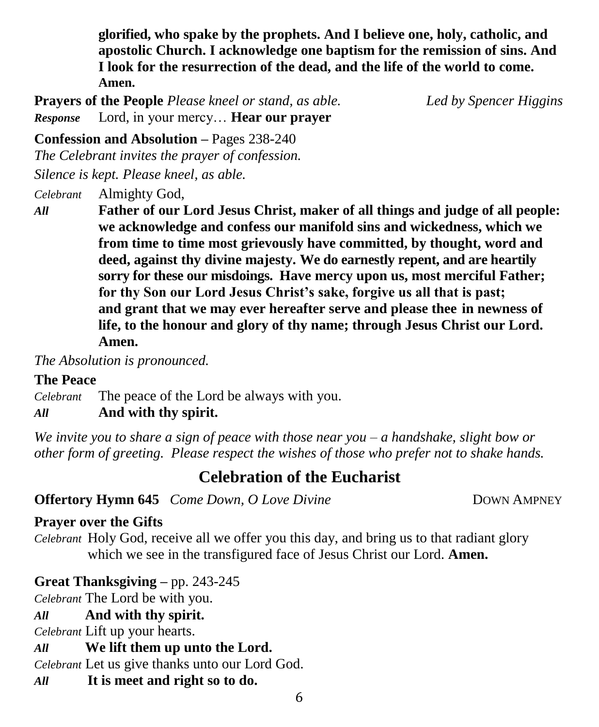**glorified, who spake by the prophets. And I believe one, holy, catholic, and apostolic Church. I acknowledge one baptism for the remission of sins. And I look for the resurrection of the dead, and the life of the world to come. Amen.**

**Prayers of the People** *Please kneel or stand, as able. Led by Spencer Higgins Response* Lord, in your mercy… **Hear our prayer**

**Confession and Absolution –** Pages 238-240

*The Celebrant invites the prayer of confession.*

*Silence is kept. Please kneel, as able.*

*Celebrant* Almighty God,

*All* **Father of our Lord Jesus Christ, maker of all things and judge of all people: we acknowledge and confess our manifold sins and wickedness, which we from time to time most grievously have committed, by thought, word and deed, against thy divine majesty. We do earnestly repent, and are heartily sorry for these our misdoings. Have mercy upon us, most merciful Father; for thy Son our Lord Jesus Christ's sake, forgive us all that is past; and grant that we may ever hereafter serve and please thee in newness of life, to the honour and glory of thy name; through Jesus Christ our Lord. Amen.**

*The Absolution is pronounced.*

#### **The Peace**

*Celebrant* The peace of the Lord be always with you.

## *All* **And with thy spirit.**

*We invite you to share a sign of peace with those near you – a handshake, slight bow or other form of greeting. Please respect the wishes of those who prefer not to shake hands.*

## **Celebration of the Eucharist**

## **Offertory Hymn 645** *Come Down, O Love Divine* **DOWN AMPNEY**

## **Prayer over the Gifts**

*Celebrant* Holy God, receive all we offer you this day, and bring us to that radiant glory which we see in the transfigured face of Jesus Christ our Lord. **Amen.**

## **Great Thanksgiving –** pp. 243-245

*Celebrant* The Lord be with you.

#### *All* **And with thy spirit.**

*Celebrant* Lift up your hearts.

## *All* **We lift them up unto the Lord.**

*Celebrant* Let us give thanks unto our Lord God.

*All* **It is meet and right so to do.**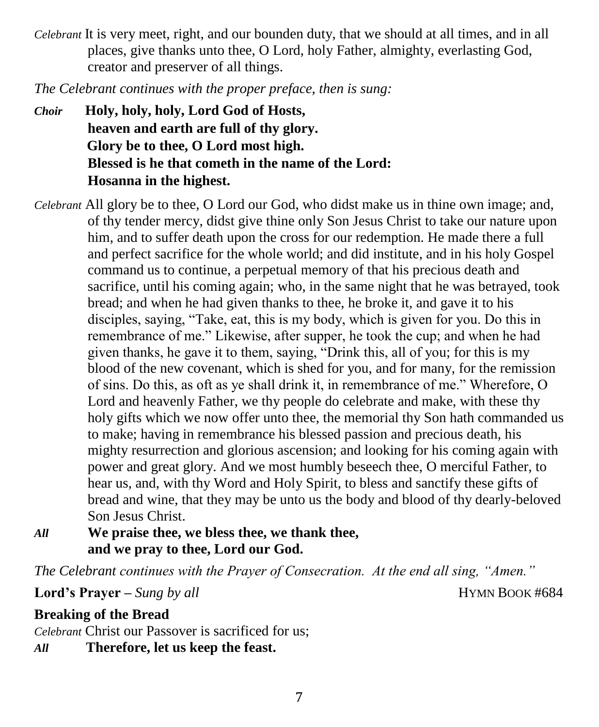*Celebrant* It is very meet, right, and our bounden duty, that we should at all times, and in all places, give thanks unto thee, O Lord, holy Father, almighty, everlasting God, creator and preserver of all things.

*The Celebrant continues with the proper preface, then is sung:*

- *Choir* **Holy, holy, holy, Lord God of Hosts, heaven and earth are full of thy glory. Glory be to thee, O Lord most high. Blessed is he that cometh in the name of the Lord: Hosanna in the highest.**
- *Celebrant* All glory be to thee, O Lord our God, who didst make us in thine own image; and, of thy tender mercy, didst give thine only Son Jesus Christ to take our nature upon him, and to suffer death upon the cross for our redemption. He made there a full and perfect sacrifice for the whole world; and did institute, and in his holy Gospel command us to continue, a perpetual memory of that his precious death and sacrifice, until his coming again; who, in the same night that he was betrayed, took bread; and when he had given thanks to thee, he broke it, and gave it to his disciples, saying, "Take, eat, this is my body, which is given for you. Do this in remembrance of me." Likewise, after supper, he took the cup; and when he had given thanks, he gave it to them, saying, "Drink this, all of you; for this is my blood of the new covenant, which is shed for you, and for many, for the remission of sins. Do this, as oft as ye shall drink it, in remembrance of me." Wherefore, O Lord and heavenly Father, we thy people do celebrate and make, with these thy holy gifts which we now offer unto thee, the memorial thy Son hath commanded us to make; having in remembrance his blessed passion and precious death, his mighty resurrection and glorious ascension; and looking for his coming again with power and great glory. And we most humbly beseech thee, O merciful Father, to hear us, and, with thy Word and Holy Spirit, to bless and sanctify these gifts of bread and wine, that they may be unto us the body and blood of thy dearly-beloved Son Jesus Christ.
- *All* **We praise thee, we bless thee, we thank thee, and we pray to thee, Lord our God.**

*The Celebrant continues with the Prayer of Consecration. At the end all sing, "Amen."*

**Lord's Prayer –** *Sung by all* **by all** *HYMN BOOK #684* 

## **Breaking of the Bread**

*Celebrant* Christ our Passover is sacrificed for us;

*All* **Therefore, let us keep the feast.**